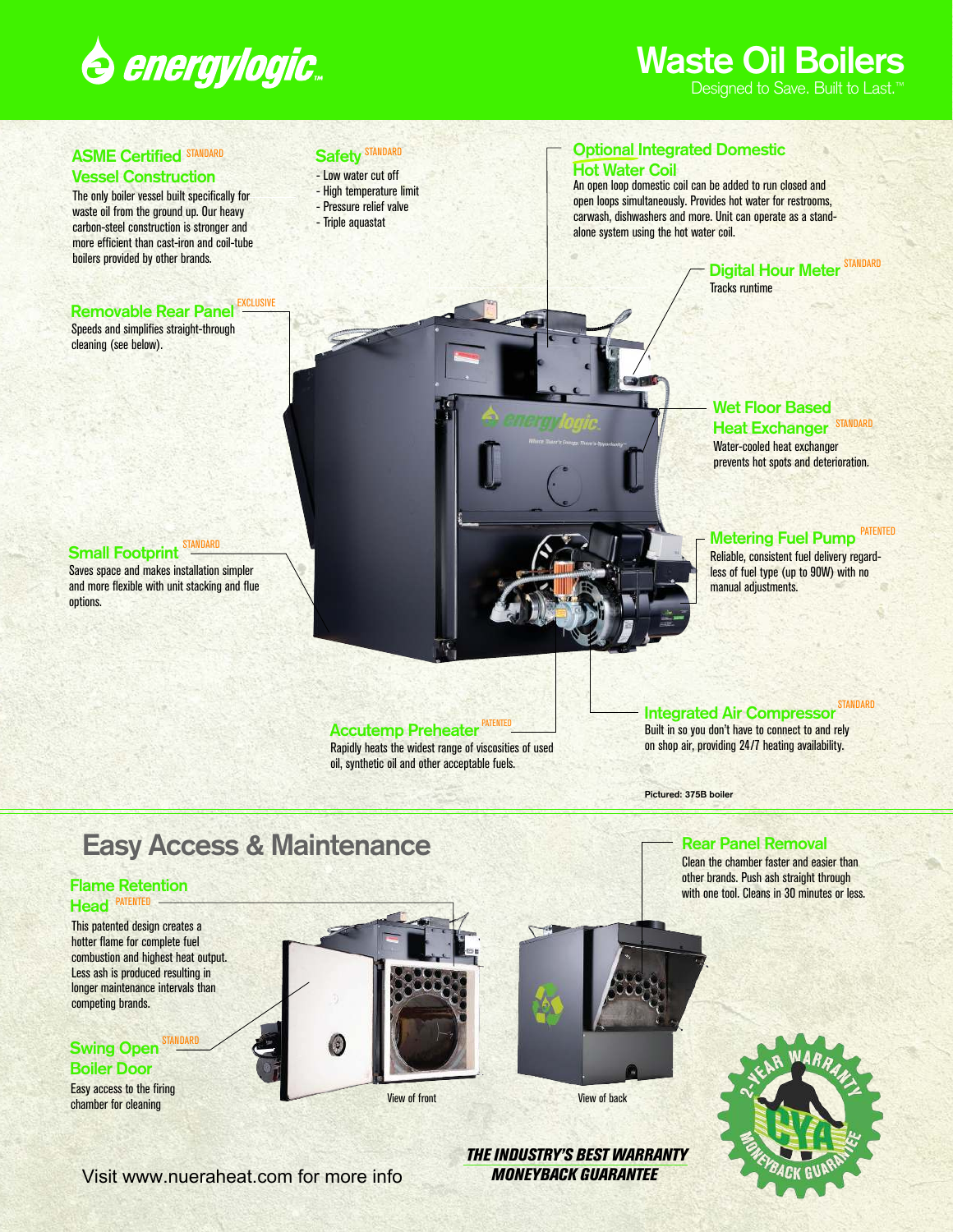

# **Waste Oil Boilers**

Designed to Save. Built to Last.<sup>™</sup>

# **ASME Certified STANDARD**

## **Vessel Construction**

The only boiler vessel built specifically for waste oil from the ground up. Our heavy carbon-steel construction is stronger and more efficient than cast-iron and coil-tube boilers provided by other brands.

### **Removable Rear Panel EXCLUSIVE**

Speeds and simplifies straight-through cleaning (see below).

# STANDARD **Safety** STANDARD

- Low water cut off - High temperature limit
- Pressure relief valve
- Triple aquastat

## **Optional Integrated Domestic Hot Water Coil**

An open loop domestic coil can be added to run closed and open loops simultaneously. Provides hot water for restrooms, carwash, dishwashers and more. Unit can operate as a standalone system using the hot water coil.

> **Digital Hour Meter STANDARD** Tracks runtime

## **Heat Exchanger** Water-cooled heat exchanger

**Metering Fuel Pump** 

Reliable, consistent fuel delivery regardless of fuel type (up to 90W) with no

**Wet Floor Based**

prevents hot spots and deterioration.

**STANDARD** 

#### **Small Footprint** STANDARD

Saves space and makes installation simpler and more flexible with unit stacking and flue options.

**Accutemp Preheater** Rapidly heats the widest range of viscosities of used oil, synthetic oil and other acceptable fuels.

#### **Integrated Air Compressor** STANDARD

manual adjustments.

Built in so you don't have to connect to and rely on shop air, providing 24/7 heating availability.

> **Rear Panel Removal** Clean the chamber faster and easier than other brands. Push ash straight through with one tool. Cleans in 30 minutes or less.

**Pictured: 375B boiler**

# **Easy Access & Maintenance**

# **Flame Retention Head** PATENTED

This patented design creates a hotter flame for complete fuel combustion and highest heat output. Less ash is produced resulting in longer maintenance intervals than competing brands.

## **Swing Open Boiler Door** STANDARD

Easy access to the firing chamber for cleaning





View of front View of back

THE INDUSTRY'S BEST WARRANTY MONEYBACK GUARANTEE



Visit www.nueraheat.com for more info